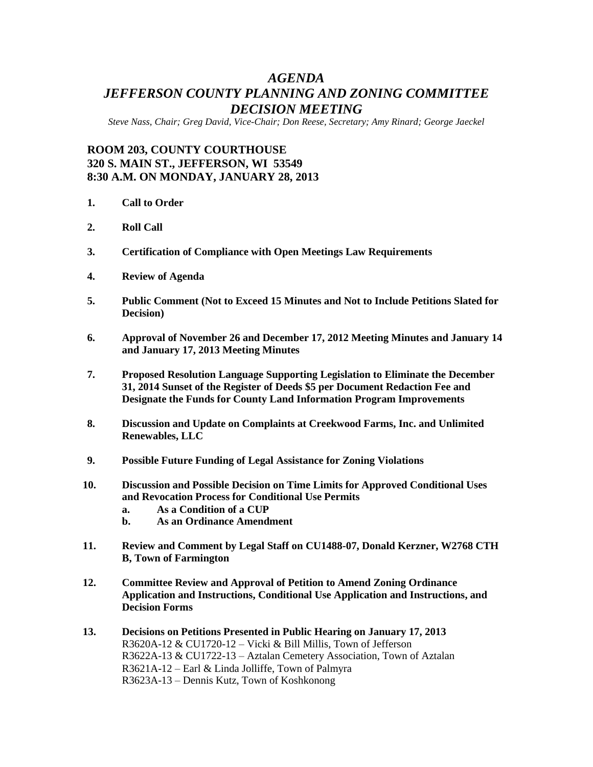## *AGENDA JEFFERSON COUNTY PLANNING AND ZONING COMMITTEE DECISION MEETING*

*Steve Nass, Chair; Greg David, Vice-Chair; Don Reese, Secretary; Amy Rinard; George Jaeckel*

## **ROOM 203, COUNTY COURTHOUSE 320 S. MAIN ST., JEFFERSON, WI 53549 8:30 A.M. ON MONDAY, JANUARY 28, 2013**

- **1. Call to Order**
- **2. Roll Call**
- **3. Certification of Compliance with Open Meetings Law Requirements**
- **4. Review of Agenda**
- **5. Public Comment (Not to Exceed 15 Minutes and Not to Include Petitions Slated for Decision)**
- **6. Approval of November 26 and December 17, 2012 Meeting Minutes and January 14 and January 17, 2013 Meeting Minutes**
- **7. Proposed Resolution Language Supporting Legislation to Eliminate the December 31, 2014 Sunset of the Register of Deeds \$5 per Document Redaction Fee and Designate the Funds for County Land Information Program Improvements**
- **8. Discussion and Update on Complaints at Creekwood Farms, Inc. and Unlimited Renewables, LLC**
- **9. Possible Future Funding of Legal Assistance for Zoning Violations**
- **10. Discussion and Possible Decision on Time Limits for Approved Conditional Uses and Revocation Process for Conditional Use Permits**
	- **a. As a Condition of a CUP**
	- **b. As an Ordinance Amendment**
- **11. Review and Comment by Legal Staff on CU1488-07, Donald Kerzner, W2768 CTH B, Town of Farmington**
- **12. Committee Review and Approval of Petition to Amend Zoning Ordinance Application and Instructions, Conditional Use Application and Instructions, and Decision Forms**
- **13. Decisions on Petitions Presented in Public Hearing on January 17, 2013** R3620A-12 & CU1720-12 – Vicki & Bill Millis, Town of Jefferson R3622A-13 & CU1722-13 – Aztalan Cemetery Association, Town of Aztalan R3621A-12 – Earl & Linda Jolliffe, Town of Palmyra R3623A-13 – Dennis Kutz, Town of Koshkonong